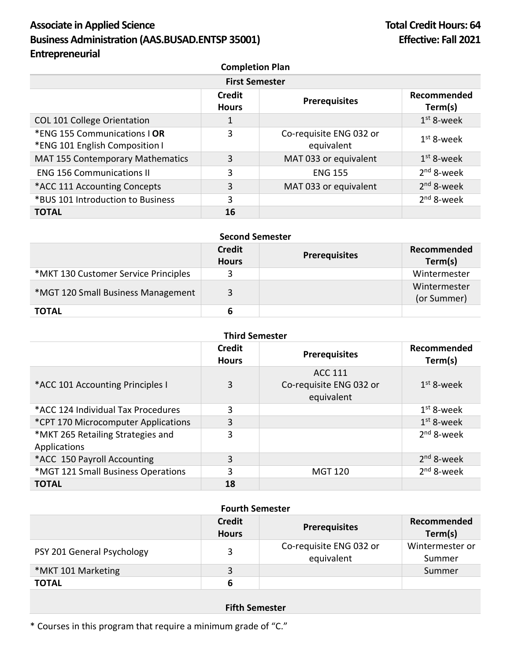## Associate in Applied Science **Total Credit Hours: 64 Business Administration (AAS.BUSAD.ENTSP 35001) Effective: Fall 2021 Entrepreneurial**

| <b>Completion Plan</b>                                         |                               |                                       |                        |
|----------------------------------------------------------------|-------------------------------|---------------------------------------|------------------------|
| <b>First Semester</b>                                          |                               |                                       |                        |
|                                                                | <b>Credit</b><br><b>Hours</b> | <b>Prerequisites</b>                  | Recommended<br>Term(s) |
| <b>COL 101 College Orientation</b>                             |                               |                                       | $1st$ 8-week           |
| *ENG 155 Communications   OR<br>*ENG 101 English Composition I | 3                             | Co-requisite ENG 032 or<br>equivalent | $1st$ 8-week           |
| MAT 155 Contemporary Mathematics                               | 3                             | MAT 033 or equivalent                 | $1st$ 8-week           |
| <b>ENG 156 Communications II</b>                               | 3                             | <b>ENG 155</b>                        | $2nd$ 8-week           |
| *ACC 111 Accounting Concepts                                   | 3                             | MAT 033 or equivalent                 | $2nd$ 8-week           |
| *BUS 101 Introduction to Business                              | 3                             |                                       | $2nd$ 8-week           |
| <b>TOTAL</b>                                                   | 16                            |                                       |                        |

| <b>Second Semester</b>               |                               |                      |                             |
|--------------------------------------|-------------------------------|----------------------|-----------------------------|
|                                      | <b>Credit</b><br><b>Hours</b> | <b>Prerequisites</b> | Recommended<br>Term(s)      |
| *MKT 130 Customer Service Principles |                               |                      | Wintermester                |
| *MGT 120 Small Business Management   |                               |                      | Wintermester<br>(or Summer) |
| <b>TOTAL</b>                         | b                             |                      |                             |

| <b>Third Semester</b>                             |                        |                                                  |                        |
|---------------------------------------------------|------------------------|--------------------------------------------------|------------------------|
|                                                   | Credit<br><b>Hours</b> | <b>Prerequisites</b>                             | Recommended<br>Term(s) |
| *ACC 101 Accounting Principles I                  | 3                      | ACC 111<br>Co-requisite ENG 032 or<br>equivalent | $1st$ 8-week           |
| *ACC 124 Individual Tax Procedures                | 3                      |                                                  | $1st$ 8-week           |
| *CPT 170 Microcomputer Applications               | 3                      |                                                  | $1st$ 8-week           |
| *MKT 265 Retailing Strategies and<br>Applications | 3                      |                                                  | $2nd$ 8-week           |
| *ACC 150 Payroll Accounting                       | 3                      |                                                  | $2nd$ 8-week           |
| *MGT 121 Small Business Operations                | 3                      | <b>MGT 120</b>                                   | $2nd$ 8-week           |
| <b>TOTAL</b>                                      | 18                     |                                                  |                        |

## **Fourth Semester**

|                            | <b>Credit</b><br><b>Hours</b> | <b>Prerequisites</b>                  | Recommended<br>Term(s)    |
|----------------------------|-------------------------------|---------------------------------------|---------------------------|
| PSY 201 General Psychology | ર                             | Co-requisite ENG 032 or<br>equivalent | Wintermester or<br>Summer |
| *MKT 101 Marketing         | 3                             |                                       | Summer                    |
| <b>TOTAL</b>               |                               |                                       |                           |

## **Fifth Semester**

\* Courses in this program that require a minimum grade of "C."